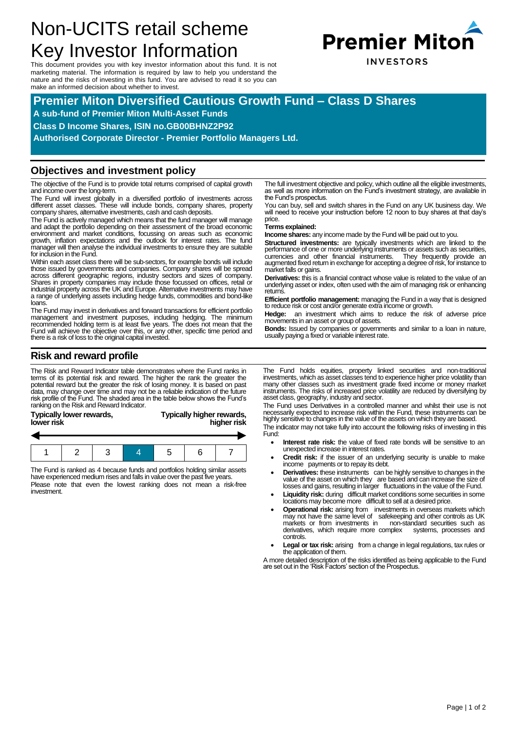# Non-UCITS retail scheme Key Investor Information

This document provides you with key investor information about this fund. It is not marketing material. The information is required by law to help you understand the nature and the risks of investing in this fund. You are advised to read it so you can make an informed decision about whether to invest.



# **Premier Miton Diversified Cautious Growth Fund – Class D Shares**

**A sub-fund of Premier Miton Multi-Asset Funds**

**Class D Income Shares, ISIN no.GB00BHNZ2P92**

**Authorised Corporate Director - Premier Portfolio Managers Ltd.**

### **Objectives and investment policy**

The objective of the Fund is to provide total returns comprised of capital growth and income over the long-term.

The Fund will invest globally in a diversified portfolio of investments across different asset classes. These will include bonds, company shares, property company shares, alternative investments, cash and cash deposits.

The Fund is actively managed which means that the fund manager will manage and adapt the portfolio depending on their assessment of the broad economic environment and market conditions, focussing on areas such as economic growth, inflation expectations and the outlook for interest rates. The fund manager will then analyse the individual investments to ensure they are suitable for inclusion in the Fund.

Within each asset class there will be sub-sectors, for example bonds will include those issued by governments and companies. Company shares will be spread<br>across different geographic regions, industry sectors and sizes of company.<br>Shares in property companies may include those focussed on offices, retai industrial property across the UK and Europe. Alternative investments may have a range of underlying assets including hedge funds, commodities and bond-like loans.

The Fund may invest in derivatives and forward transactions for efficient portfolio management and investment purposes, including hedging. The minimum<br>recommended holding term is at least five years. The does not mean that the<br>Fund will achieve the objective over this, or any other, specific time period a there is a risk of loss to the original capital invested.

The full investment objective and policy, which outline all the eligible investments, as well as more information on the Fund's investment strategy, are available in the Fund's prospectus.

You can buy, sell and switch shares in the Fund on any UK business day. We will need to receive your instruction before 12 noon to buy shares at that day's price.

#### **Terms explained:**

**Income shares:** any income made by the Fund will be paid out to you.

**Structured investments:** are typically investments which are linked to the performance of one or more underlying instruments or assets such as securities,<br>currencies and other financial instruments. They frequently provide an<br>augmented fixed return in exchange for accepting a degree of risk, for market falls or gains.

**Derivatives:** this is a financial contract whose value is related to the value of an underlying asset or index, often used with the aim of managing risk or enhancing returns.

**Efficient portfolio management:** managing the Fund in a way that is designed to reduce risk or cost and/or generate extra income or growth.

**Hedge:** an investment which aims to reduce the risk of adverse price movements in an asset or group of assets.

**Bonds:** Issued by companies or governments and similar to a loan in nature, usually paying a fixed or variable interest rate.

# **Risk and reward profile**

investment.

The Risk and Reward Indicator table demonstrates where the Fund ranks in terms of its potential risk and reward. The higher the rank the greater the potential reward but the greater the risk of losing money. It is based on past data, may change over time and may not be a reliable indication of the future risk profile of the Fund. The shaded area in the table below shows the Fund's ranking on the Risk and Reward Indicator.

| Typically lower rewards,<br>lower risk | Typically higher rewards,<br>higher risk |
|----------------------------------------|------------------------------------------|
|                                        |                                          |
|                                        |                                          |
|                                        |                                          |

The Fund is ranked as 4 because funds and portfolios holding similar assets have experienced medium rises and falls in value over the past five years. Please note that even the lowest ranking does not mean a risk-free

1 2 3 4 5 6 7

The Fund holds equities, property linked securities and non-traditional investments, which as asset classes tend to experience higher price volatility than many other classes such as investment grade fixed income or money market instruments. The risks of increased price volatility are reduced by diversifying by asset class, geography, industry and sector.

The Fund uses Derivatives in a controlled manner and whilst their use is not necessarily expected to increase risk within the Fund, these instruments can be highly sensitive to changes in the value of the assets on which they are based. The indicator may not take fully into account the following risks of investing in this

Fund:

- **Interest rate risk:** the value of fixed rate bonds will be sensitive to an unexpected increase in interest rates.
- **Credit risk:** if the issuer of an underlying security is unable to make income payments or to repay its debt.
- **Derivatives:** these instruments can be highly sensitive to changes in the value of the asset on which they are based and can increase the size of losses and gains, resulting in larger fluctuations in the value of the Fund.
- Liquidity risk: during difficult market conditions some securities in some locations may become more difficult to sell at a desired price.
- **Operational risk:** arising from investments in overseas markets which may not have the same level of safekeeping and other controls as UK markets or from investments in non-standard securities such as derivatives, which require more complex systems, processes and derivatives, which require more complex controls.
- Legal or tax risk: arising from a change in legal regulations, tax rules or the application of them.

A more detailed description of the risks identified as being applicable to the Fund are set out in the 'Risk Factors' section of the Prospectus.